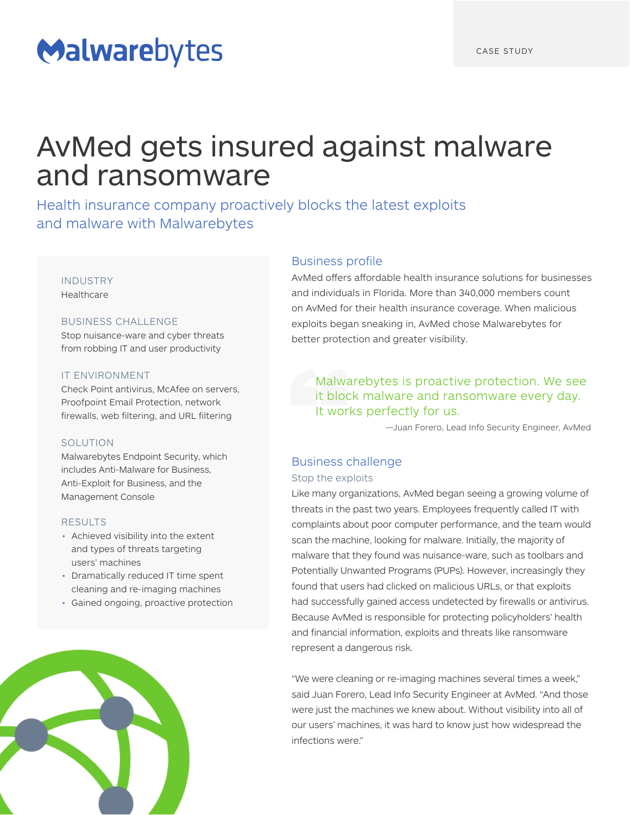# Malwarebytes

## AvMed gets insured against malware and ransomware

Health insurance company proactively blocks the latest exploits and malware with Malwarebytes

#### INDUSTRY Healthcare

## BUSINESS CHALLENGE

Stop nuisance-ware and cyber threats from robbing IT and user productivity

## IT ENVIRONMENT

Check Point antivirus, McAfee on servers, Proofpoint Email Protection, network firewalls, web filtering, and URL filtering

## SOLUTION

Malwarebytes Endpoint Security, which includes Anti-Malware for Business, Anti-Exploit for Business, and the Management Console

## RESULTS

- Achieved visibility into the extent and types of threats targeting users' machines
- Dramatically reduced IT time spent cleaning and re-imaging machines
- Gained ongoing, proactive protection



## Business profile

AvMed offers affordable health insurance solutions for businesses and individuals in Florida. More than 340,000 members count on AvMed for their health insurance coverage. When malicious exploits began sneaking in, AvMed chose Malwarebytes for better protection and greater visibility.

## Malwarebytes is proactive protection. We see it block malware and ransomware every day. It works perfectly for us.

—Juan Forero, Lead Info Security Engineer, AvMed

## Business challenge

## Stop the exploits

Like many organizations, AvMed began seeing a growing volume of threats in the past two years. Employees frequently called IT with complaints about poor computer performance, and the team would scan the machine, looking for malware. Initially, the majority of malware that they found was nuisance-ware, such as toolbars and Potentially Unwanted Programs (PUPs). However, increasingly they found that users had clicked on malicious URLs, or that exploits had successfully gained access undetected by firewalls or antivirus. Because AvMed is responsible for protecting policyholders' health and financial information, exploits and threats like ransomware represent a dangerous risk.

"We were cleaning or re-imaging machines several times a week," said Juan Forero, Lead Info Security Engineer at AvMed. "And those were just the machines we knew about. Without visibility into all of our users' machines, it was hard to know just how widespread the infections were."